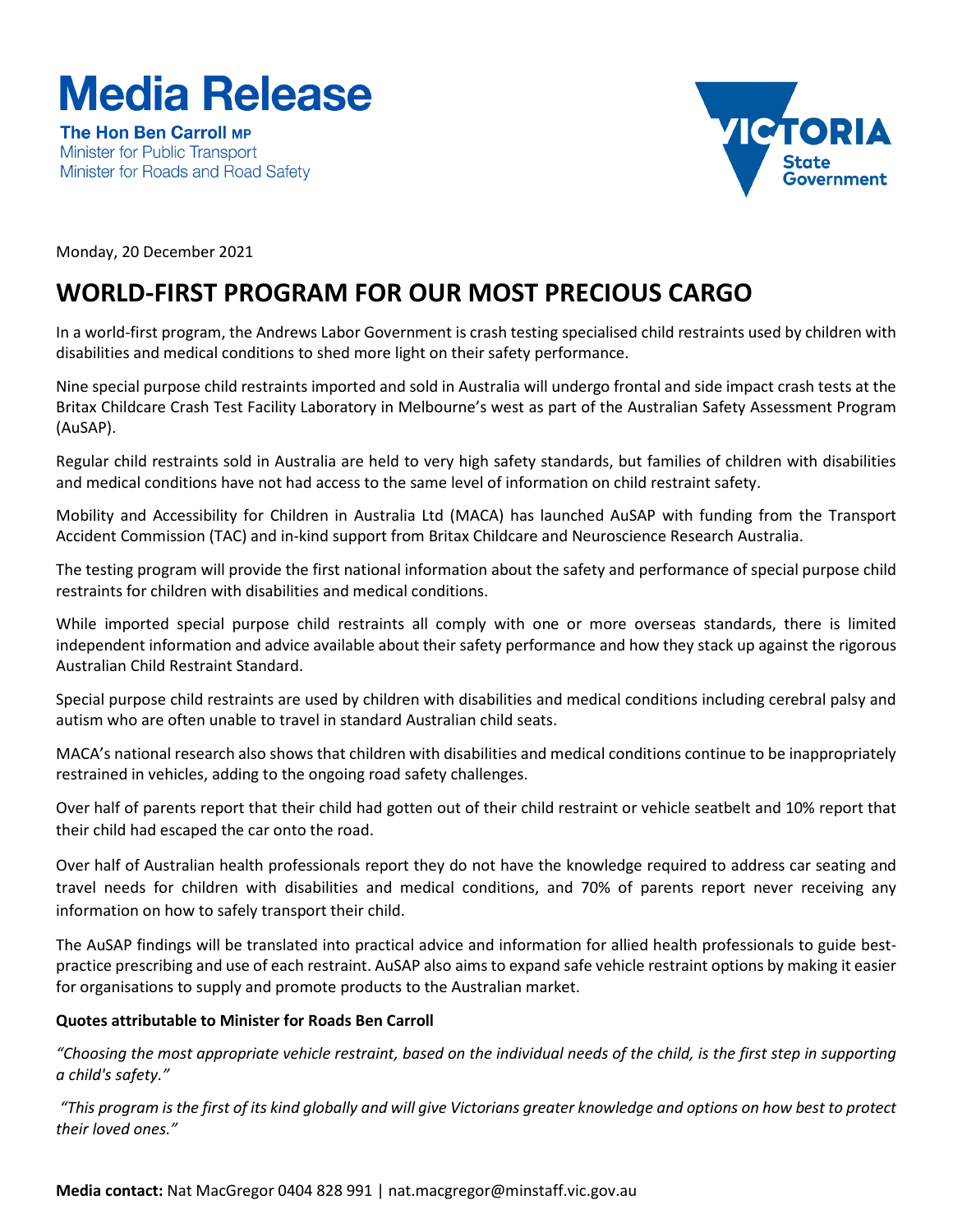# **Media Release**

The Hon Ben Carroll MP Minister for Public Transport Minister for Roads and Road Safety



Monday, 20 December 2021

# **WORLD-FIRST PROGRAM FOR OUR MOST PRECIOUS CARGO**

In a world-first program, the Andrews Labor Government is crash testing specialised child restraints used by children with disabilities and medical conditions to shed more light on their safety performance.

Nine special purpose child restraints imported and sold in Australia will undergo frontal and side impact crash tests at the Britax Childcare Crash Test Facility Laboratory in Melbourne's west as part of the Australian Safety Assessment Program (AuSAP).

Regular child restraints sold in Australia are held to very high safety standards, but families of children with disabilities and medical conditions have not had access to the same level of information on child restraint safety.

Mobility and Accessibility for Children in Australia Ltd (MACA) has launched AuSAP with funding from the Transport Accident Commission (TAC) and in-kind support from Britax Childcare and Neuroscience Research Australia.

The testing program will provide the first national information about the safety and performance of special purpose child restraints for children with disabilities and medical conditions.

While imported special purpose child restraints all comply with one or more overseas standards, there is limited independent information and advice available about their safety performance and how they stack up against the rigorous Australian Child Restraint Standard.

Special purpose child restraints are used by children with disabilities and medical conditions including cerebral palsy and autism who are often unable to travel in standard Australian child seats.

MACA's national research also shows that children with disabilities and medical conditions continue to be inappropriately restrained in vehicles, adding to the ongoing road safety challenges.

Over half of parents report that their child had gotten out of their child restraint or vehicle seatbelt and 10% report that their child had escaped the car onto the road.

Over half of Australian health professionals report they do not have the knowledge required to address car seating and travel needs for children with disabilities and medical conditions, and 70% of parents report never receiving any information on how to safely transport their child.

The AuSAP findings will be translated into practical advice and information for allied health professionals to guide bestpractice prescribing and use of each restraint. AuSAP also aims to expand safe vehicle restraint options by making it easier for organisations to supply and promote products to the Australian market.

## **Quotes attributable to Minister for Roads Ben Carroll**

*"Choosing the most appropriate vehicle restraint, based on the individual needs of the child, is the first step in supporting a child's safety."*

*"This program is the first of its kind globally and will give Victorians greater knowledge and options on how best to protect their loved ones."*